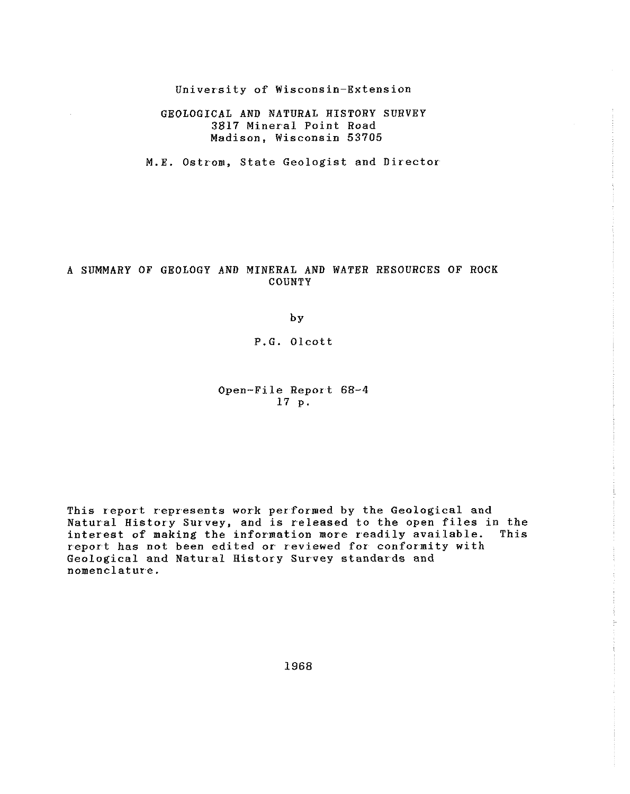University of Wisconsin-Extension

GEOLOGICAL AND NATURAL HISTORY SURVEY 3817 Mineral Point Road Madison, Wisconsin 53705

M.E. Ostrom, State Geologist and Director

# A SUMMARY OF GEOLOGY AND MINERAL AND WATER RESOURCES OF ROCK COUNTY

b Y

# P.G. Olcott

# Open-File Report 68-4 17 p.

This report represents work performed by the Geological and Natural History Survey, and is released to the open files in the interest of making the information more readily available. report has not been edited or reviewed for conformity with Geological and Natural History Survey standards and nomenclature.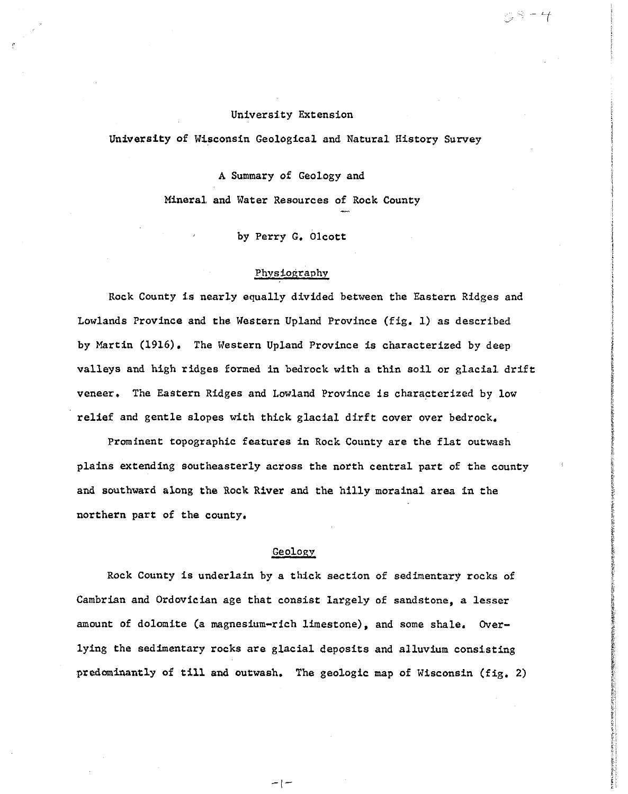## University Extension

こうーイ

University of Wisconsin Geological and Natural. History Survey

A Summary of Geology and Mineral. and Water Resources of Rock County

by Perry G. Olcott

#### Physiography

Rock County is nearly equally divided between the Eastern Ridges and Lowlands Province and the Western Upland Province (fig. 1) as described by Martin (1916). The Western Upland Province is characterized by deep valleys and high ridges formed in bedrock with a thin soil or glacial drift veneer. The Eastern Ridges and Lowland Province is characterized by low relief and gentle slopes with thick glacial dirft cover over bedrock.

Prominent topographic features in Rock County are the flat outwash plains extending southeasterly across the north central part of the county and southward along the Rock River and the hilly morainal area in the northern part of the county.

# Geology\_

Rock County is underlain by a thick section of sedimentary rocks of Cambrian and Ordovician age that consist largely of sandstone, a lesser amount of dolomite (a magnesium-rich limestone), and some shale. Overlying the sedimentary rocks are glacial deposits and alluvium consisting predominantly of till and outwash. The geologic map of Wisconsin (fig, 2)

 $-$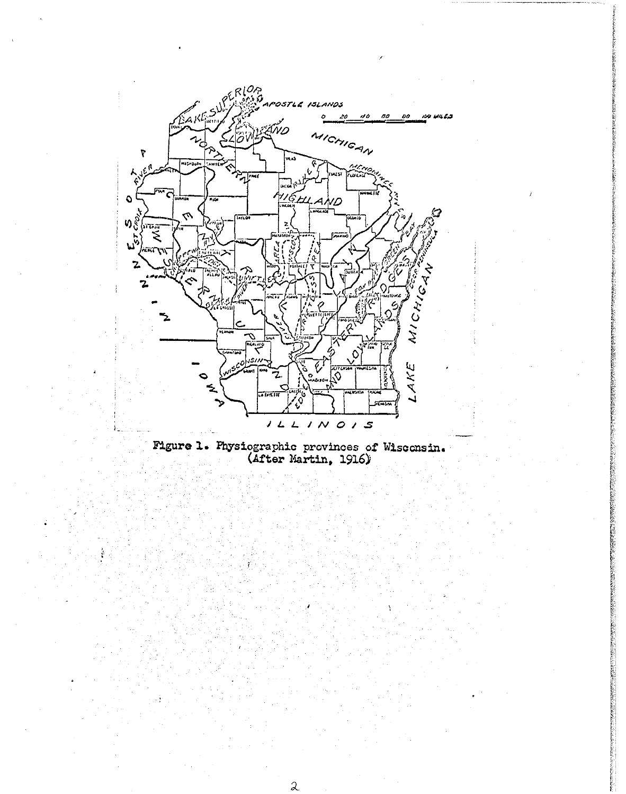

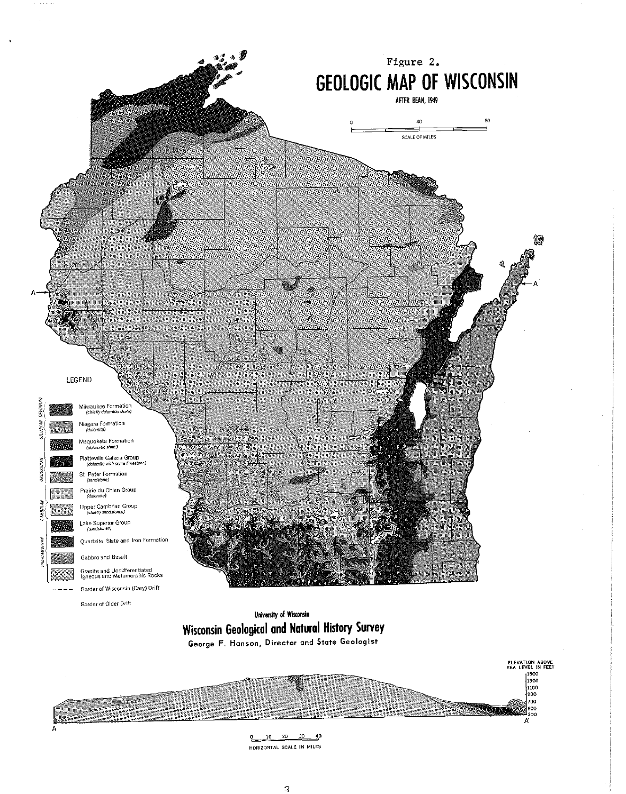

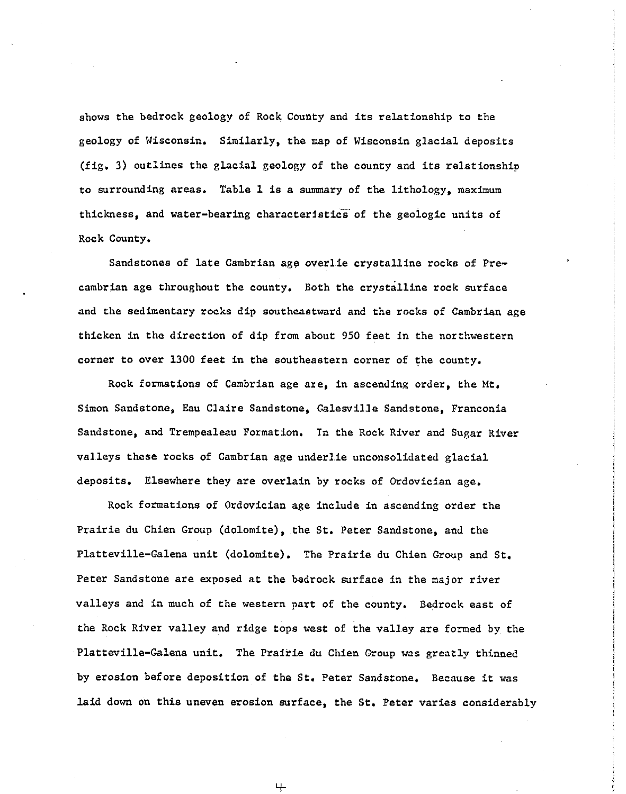shows the bedrock geology of Rock County and its relationship to the geology of Wisconsin. Similarly, the map of Wisconsin glacial deposits (fig. 3) outlines the glacial geology of the county and its relationship to surrounding areas. Table 1 is a summary of the lithology, maximum thickness, and water-bearing characteristics of the geologic units of Rock County.

Sandstones of late Cambrian age overlie crystalline rocks of Precambrian age throughout the county. Both the crystalline rock surface and the sedimentary rocks dip southeastward and the rocks of Cambrian age thicken in the direction of dip from about 950 feet in the northwestern corner to over 1300 feet in the southeastern corner of the county.

Rock formations of Cambrian age are, in ascending order, the Mt. Simon Sandstone, Eau Claire Sandstone, Galesville Sandstone, Franconia Sandstone, and Trempealeau Formation. In the Rock River and Sugar River valleys these rocks of Cambrian age underlie unconsolidated glacial. deposits. Elsewhere they are overlain by rocks of Ordovician age.

Rock formations of Ordovician age include in ascending order the Prairie du Chien Group (dolomite), the St. Peter Sandstone, and the Platteville-Galena unit (dolomite). The Prairie du Chien Group and St. Peter Sandstone are exposed at the bedrock surface in the major river valleys and in much of the western part of the county. Bedrock east of the Rock River valley and ridge tops west of the valley are formed by the Platteville-Galena unit. The Prairie du Chien Group was greatly thinned by erosion before deposition of the St. Peter Sandstone. Because it was laid down on this uneven erosion surface, the St. Peter varies considerably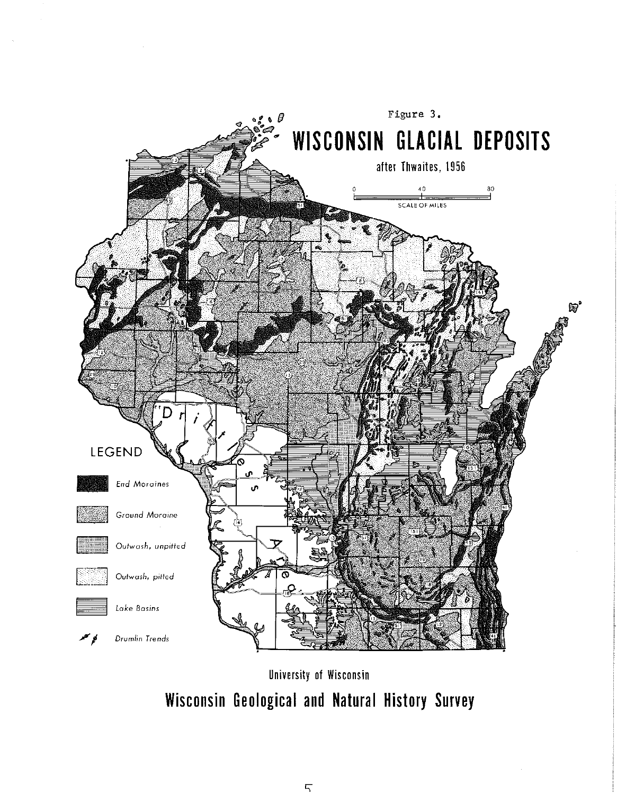

University of Wisconsin Wisconsin Geological and Natural History Survey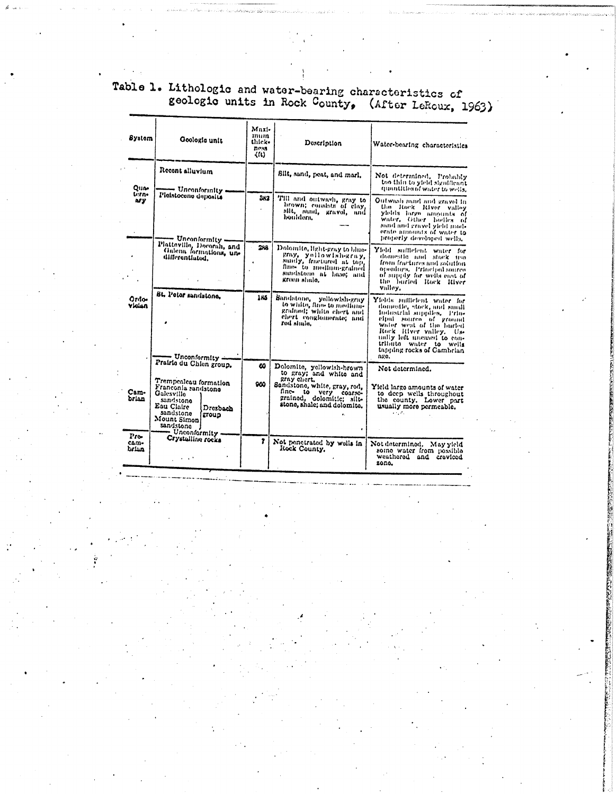Table 1. Lithologic and water-bearing characteristics of<br>geologic units in Rock County, (After LeRoux, 1963)

| System                  | Geologic unit                                                                                                                                                                                      | Maxi-<br>mum<br>thick-<br>ness<br>くくしょ | Description                                                                                                                                                                             | Water-bearing characteristics                                                                                                                                                                                                                                        |
|-------------------------|----------------------------------------------------------------------------------------------------------------------------------------------------------------------------------------------------|----------------------------------------|-----------------------------------------------------------------------------------------------------------------------------------------------------------------------------------------|----------------------------------------------------------------------------------------------------------------------------------------------------------------------------------------------------------------------------------------------------------------------|
| Oun-<br>tern-           | Recont alluvium<br>Unconformity                                                                                                                                                                    |                                        | Silt, sand, peat, and marl.                                                                                                                                                             | Not determined. Probably<br>too thin to yield significant<br>manufilles of water to wells.                                                                                                                                                                           |
| ns y                    | Pleistocene deposits<br>— Unconformity —                                                                                                                                                           | 312                                    | Till and outwash, gray to<br>brown; consists of clay,<br>silt, sand, gravel, and                                                                                                        | Outwish mind and gravel in<br>the Rock River valley<br>ylolds large amounts of<br>water, Other hodies of<br>sand and gravel yield mod-<br>orato amounts of water to<br>properly developed wells.                                                                     |
|                         | Plattaville, Decorah, and<br>Galena formations, un-<br>differentiated,                                                                                                                             | 288                                    | Dolomite, light-gray to blue-<br>gray, yellowish-gray.<br>sandy, fractured at top.<br>fine- to medium-grained<br>sandstone at base; and<br>groen shalo,                                 | Yield sufficient water for<br>domestic and stock tea<br>from fractures and solution<br>orsonings. Principal source<br>of mindly for wells east of<br>the buried Rock River<br>Valley,                                                                                |
| Ordo-<br>Vician         | Bt. Peter sundstone.<br>— Unconformity —                                                                                                                                                           | 186                                    | Sandstone, yellowish-gray<br>to white, flue-to-medium-<br>grained; white chert and<br>chert conglomerate; and<br>rod shalo.                                                             | Yields sufficient water for<br>domestic, stock, and small<br>industrial supplies. Prin-<br>cipal source of ground<br>water west of the buried<br>Rock River valley, Us-<br>unlly loft uncased to con-<br>tributo water to wells<br>tapping rocks of Cambrian<br>ngo. |
| Cam-<br>brian           | Prairie du Chien group.<br>Trempealeau formation<br>Franconia sandstono<br>Galesvillo<br>sandstone<br>Eau Claire<br>Dresbach<br>sandstone<br>group<br>Mount Simon<br>sandstone<br>- Unconformity - | w<br>960                               | Dolomite, yellowish-brown<br>to gray; and white and<br>gray chert.<br>Sandstone, white, gray, red,<br>fine- to very coarse-<br>grained, dolomitic; silt-<br>stone, shale; and dolomito. | Not determined.<br>Yield large amounts of water<br>to deep wells throughout<br>the county. Lower part<br>usually more permeable.<br>$\mathcal{L} = \mathcal{L} \mathcal{L}$                                                                                          |
| $Pro-$<br>cam-<br>brian | Crystalline rocks                                                                                                                                                                                  | ?                                      | Not penetrated by wells in<br>Rock County,                                                                                                                                              | Not determined. May yield<br>some water from possible<br>weathered and creviced<br>zona.                                                                                                                                                                             |

またまのためましたが、そのようにいくまではPERMANOMARYが実施を受けることになっています。 まんしつのたい ちょうかん こうしゅう しょうしょう しょうしょう しょうしょう こうしょう こうしょう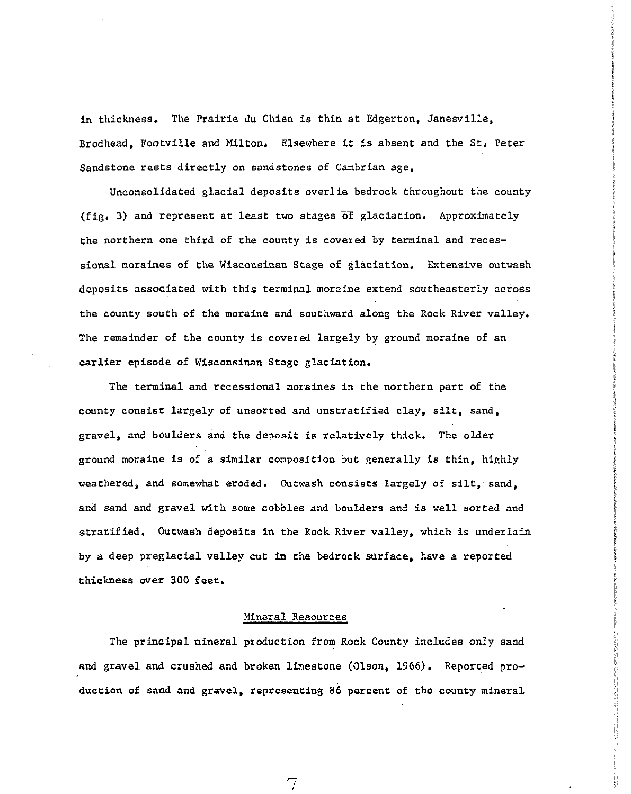in thickness. The Prairie du Chien is thin at Edgerton, Janesville, Brodhead, Footville and Milton. Elsewhere it is absent and the St. Peter Sandstone rests directly on sandstones of Cambrian age.

Unconsolidated glacial deposits overlie bedrock throughout the county (fig. 3) and represent at least two stages  $\overline{of}$  glaciation. Approximately the northern one third of the county is covered by terminal and recessionalmoraines of the Wisconsinan Stage of glaciation. Extensive outwash deposits associated with this terminal moraine extend southeasterly across the county south of the moraine and southward along the Rock River val.ley. The remainder of the county is covered largely by ground moraine of an earlier episode of Wisconsinan Stage glaciation.

The terminal and recessional moraines in the northern part of the county consist largely of unsorted and unstratified clay, silt, sand, gravel, and boulders and the deposit is relatively thick. The older ground moraine is of a similar composition but generally is thin, highly weathered, and somewhat eroded. Outwash consists largely of silt, sand, and sand and gravel with some cobbles and boulders and is well sorted and stratified. Outwash deposits in the Rock River valley, which is underlain by a deep preglacial valley cut in the bedrock surface, have a reported thickness over 300 feet.

#### Mineral Resources

The principal mineral production from Rock County includes only sand and gravel and crushed and broken limestone (Olson, 1966). Reported production of sand and gravel, representing 86 percent of the county mineral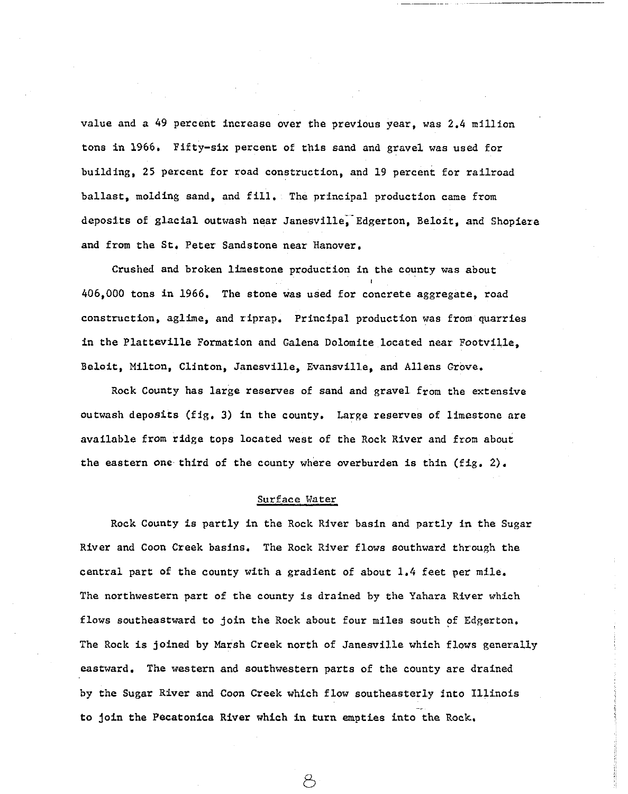value and a 49 percent increase over the previous year, was 2.4 million tons in 1966. Fifty-six percent of this sand and gravel was used for building, 25 percent for road construction, and 19 percent for railroad ballast, molding sand, and fill. The principal production came from deposits of glacial outwash near Janesville, Edgerton, Beloit, and Shopiere and from the St, Peter Sandstone near Hanover.

Crushed and broken limestone production in the county was about 406,000 tons in 1966. The stone was used for concrete aggregate, road construction, aglime, and riprap. Principal production was from quarries in the Platteville Formation and Galena Dolomite located near Footville, Beloit, Milton. Clinton, Janesville, Evansville, and Allens Grove.

Rock County has large reserves of sand and gravel from the extensive outwash deposits (fig. 3) in the county. Large reserves of limestone are available from ridge tops located west of the Rock River and from about the eastern one third of the county where overburden is thin (fig. 2).

## Surface Water

Rock County is partly in the Rock River basin and partly in the Sugar River and Coon Creek basjns. The Rock River flows southward through the central part of the county with a gradient of about  $1.4$  feet per mile. The northwestern part of the county is drained by the Yahara River which flows southeastward to join the Rock about four miles south of Edgerton. The Rock is joined by Marsh Creek north of Janesville which flows generally eastward. The western and southwestern parts of the county are drained by the Sugar River and Coon Creek which flow southeasterly into Illinois to join the Pecatonica River which in turn empties into the Rock.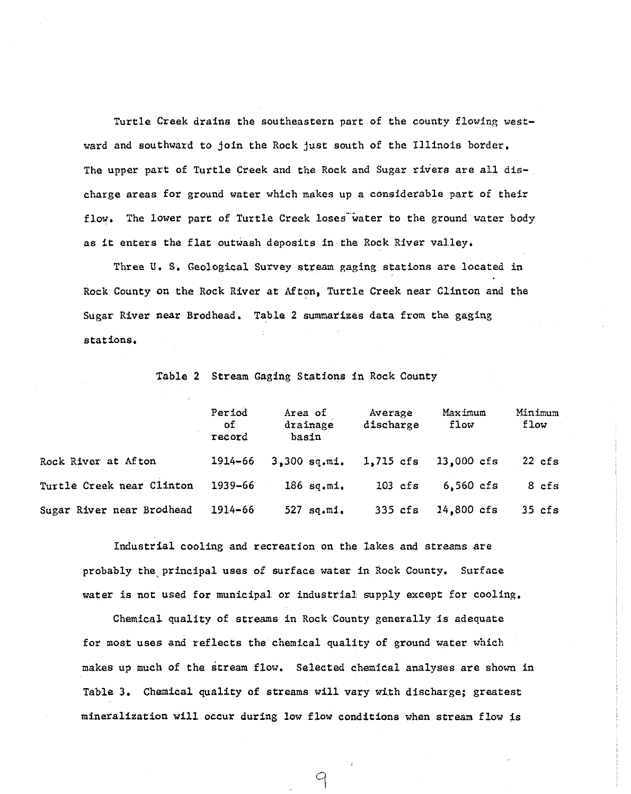Turtle Creek drains the southeastern part of the county flowing westward and southward to join the Rock just south of the Illinois border. The upper part of Turtle Creek and the Rock and Sugar rivers are all discharge areas for ground water which makes up a considerable part of their flow. The lower part of Turtle Creek loses water to the ground water body as it enters the flat outwash deposits in the Rock River valley.

Three U. S. Geological Survey stream gaging stations are located in Rock County on the Rock River at Afton, Turtle Creek near Clinton and the Sugar River near Brodhead. Table 2 summarizes data from the gaging stations,

|  |  |  |  | Table 2 Stream Gaging Stations in Rock County |  |  |  |
|--|--|--|--|-----------------------------------------------|--|--|--|
|--|--|--|--|-----------------------------------------------|--|--|--|

|                           | Period<br>of.<br>record | Area of<br>drainage<br>basin | Average<br>discharge | Maximum<br>flow | Minimum<br>flow |
|---------------------------|-------------------------|------------------------------|----------------------|-----------------|-----------------|
| Rock River at Afton       | 1914–66                 | $3,300$ sq.mi.               | 1.715 cfs            | $13,000$ cfs    | $22$ cfs        |
| Turtle Creek near Clinton | 1939-66                 | $186$ sq.mi.                 | $103$ cfs            | $6.560$ cfs     | 8 cfs           |
| Sugar River near Brodhead | 1914-66                 | 527 sq.mi.                   | $335$ cfs            | $14,800$ cfs    | $35$ cfs        |

Industrial cooling and recreation on the lakes and streams are probably the principal uses of surface water in Rock County. Surface water is not used for municipal or industrial supply except for cooling.

Chemical quality of streams in Rock County generally is adequate for most uses and reflects the chemical quality of ground water which makes up much of the stream flow. Selected chemical analyses are shown in Table 3. Chemical quality of streams will vary with discharge; greatest mineralization will occur during low flow conditions when stream flow is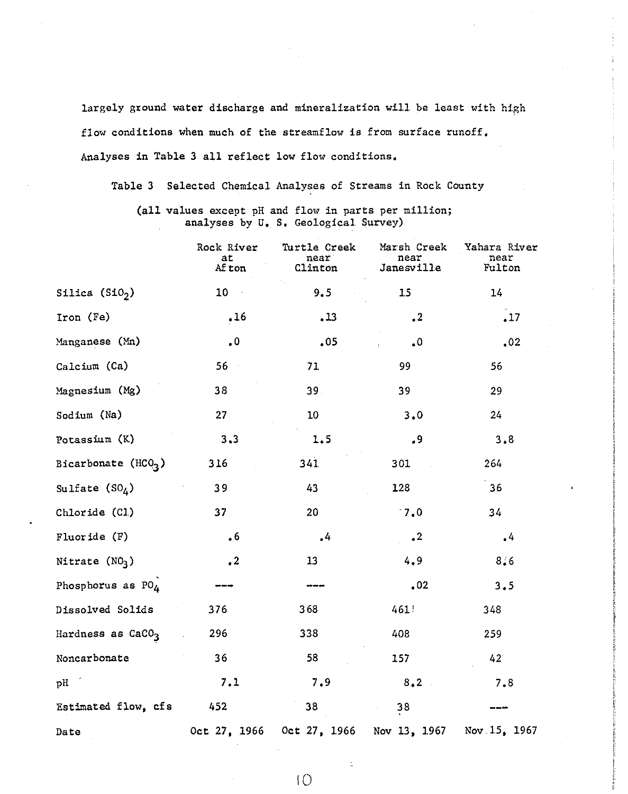largely ground water discharge and mineralization will be least with high flow conditions when much of the streamflow is from surface runoff. Analyses in Table 3 all reflect low flow conditions.

Table 3 Selected Chemical Analyses of Streams in Rock County

(all values except pH and flow in parts per million; analyses by U. S. Geological Survey)

|                               | Rock River<br>at<br>Af ton | Turtle Creek<br>near<br>Clinton | Marsh Creek<br>near<br>Janesville | Yahara River<br>near<br>Fulton |  |  |
|-------------------------------|----------------------------|---------------------------------|-----------------------------------|--------------------------------|--|--|
| Silica $(Si02)$               | 10 <sub>1</sub>            | 9.5                             | 15                                | 14                             |  |  |
| Iron (Fe)                     | .16                        | .13                             | $\cdot$ <sup>2</sup>              | .17                            |  |  |
| Manganese (Mn)                | $\cdot$ <sup>0</sup>       | .05                             | $\ddot{\bullet}$                  | $\cdot$ 02                     |  |  |
| Calcium (Ca)                  | $56 -$                     | 71                              | 99                                | 56                             |  |  |
| Magnesium (Mg)                | 38                         | 39.                             | 39                                | 29                             |  |  |
| Sodium (Na)                   | 27                         | 10                              | 3.0                               | 24                             |  |  |
| Potassium (K)                 | 3.3                        | 1.5                             | .9                                | 3.8                            |  |  |
| Bicarbonate $(HCO3)$          | 316                        | 341                             | 301                               | 264                            |  |  |
| Sulfate $(SO_4)$              | 39                         | 43                              | 128                               | 36                             |  |  |
| Chloride (Cl)                 | 37                         | 20                              | 17.0                              | 34                             |  |  |
| Fluoride $(F)$                | .6                         | $\frac{1}{2}$                   | $\cdot^2$                         | $\cdot$ <sup>4</sup>           |  |  |
| Nitrate $(NO3)$               | $\cdot^2$                  | 13 <sub>1</sub>                 | 4, 9                              | 8/6                            |  |  |
| Phosphorus as $PO_4$          |                            |                                 | .02                               | 3.5                            |  |  |
| Dissolved Solids              | 376                        | 368                             | 461                               | 348                            |  |  |
| Hardness as CaCO <sub>3</sub> | 296                        | 338                             | 408                               | 259                            |  |  |
| Noncarbonate                  | 36                         | 58                              | 157                               | 42                             |  |  |
| pH                            | 7.1                        | 7.9                             | 8.2                               | 7.8                            |  |  |
| Estimated flow, cfs           | 452                        | 38                              | ${\bf 38}$                        |                                |  |  |
| Date                          |                            | Oct 27, 1966 Oct 27, 1966       | Nov 13, 1967                      | Nov. $1.5$ , 1967              |  |  |

I0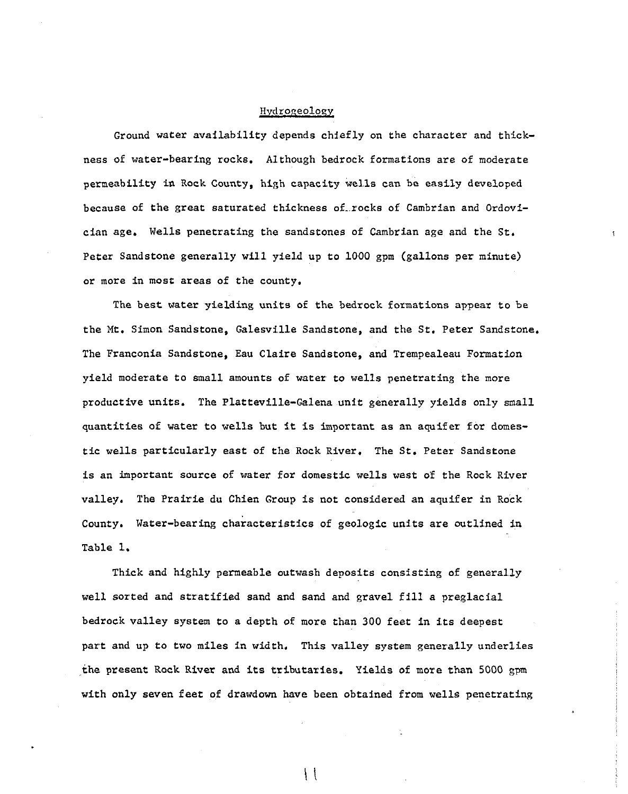#### Hydrogeology

Ground water availability depends chiefly on the character and thickness of water-bearing rocks. Although bedrock formations are of moderate permeability in Rock County, high capacity wells can be easily developed because of the great saturated thickness of rocks of Cambrian and Ordovician age. Wells penetrating the sandstones of Cambrian age and the St, Peter Sandstone generally will yield up to 1000 gpm (gallons per minute) or more in most areas of the county.

The best water yielding units of the bedrock formations appear to be the Mt. Simon Sandstone, Galesville Sandstone, and the St. Peter Sandstone. The Franconia Sandstone, Eau Claire Sandstone, and Trempealeau Formation yield moderate to small amounts of water to wells penetrating the more productive units. The Platteville-Galena unit generally yields only small quantities of water to wells but it is important as an aquifer for domestic wells particularly east of the Rock River. The St. Peter Sandstone is an important source of water for domestic wells west of the Rock River valley. The Prairie du Chien Group is not considered an aquifer in Rock County. Water-bearing characteristics of geologic units are outlined in Table 1.

Thick and highly permeable outwash deposits consisting of generally well sorted and stratified sand and sand and gravel fill a preglacial bedrock valley system to a depth of more than 300 feet in its deepest part and up to two miles in width. This valley system generally underlies the present Rock River and its tributaries. Yields of more than 5000 gpm with only seven feet of drawdown have been obtained from wells penetrating

 $\vert \ \vert$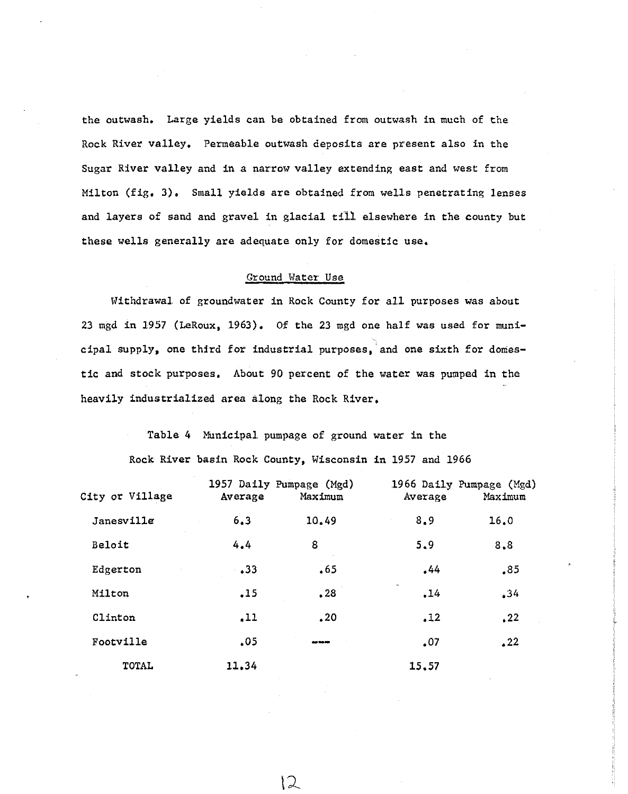the outwash. Large yields can be obtained from outwash in much of the Rock River valley. Permeable outwash deposits are present also in the Sugar River valley and in a narrow valley extending east and west from Milton (fig. 3). Small yields are obtained from wells penetrating lenses and layers of sand and gravel in glacial till, ehewhere in the county but these wells generally are adequate only for domestic use.

## Ground Water Use

Withdrawal of groundwater in Rock County for all purposes was about 23 mgd in 1957 (LeRoux, 1963). Of the 23 mgd one half was used for municipal supply, one third for industrial purposes, and one sixth for domestic and stock purposes. About 90 percent of the water was pumped in the heavily industrialized area along the Rock River.

> Table 4 Municipal pumpage of ground water in the Rock River basin Rock County, Wisconsin in 1957 and 1966

| City or Village | 1957 Daily Pumpage (Mgd)<br>Average | Maximum | Average | 1966 Daily Pumpage (Mgd)<br>Maximum |  |  |
|-----------------|-------------------------------------|---------|---------|-------------------------------------|--|--|
| Janesville      | 6.3                                 | 10.49   | 8.9     | 16.0                                |  |  |
| Beloit          | 4.4                                 | 8       | 5.9     | 8.8                                 |  |  |
| Edgerton        | $\ddotsc$                           | .65     | .44     | .85                                 |  |  |
| Milton          | .15                                 | .28     | .14     | .34                                 |  |  |
| Clinton         | .11                                 | .20     | .12     | , 22                                |  |  |
| Footville       | .05                                 | ----    | .07     | .22                                 |  |  |
| TOTAL           | 11.34                               |         | 15.57   |                                     |  |  |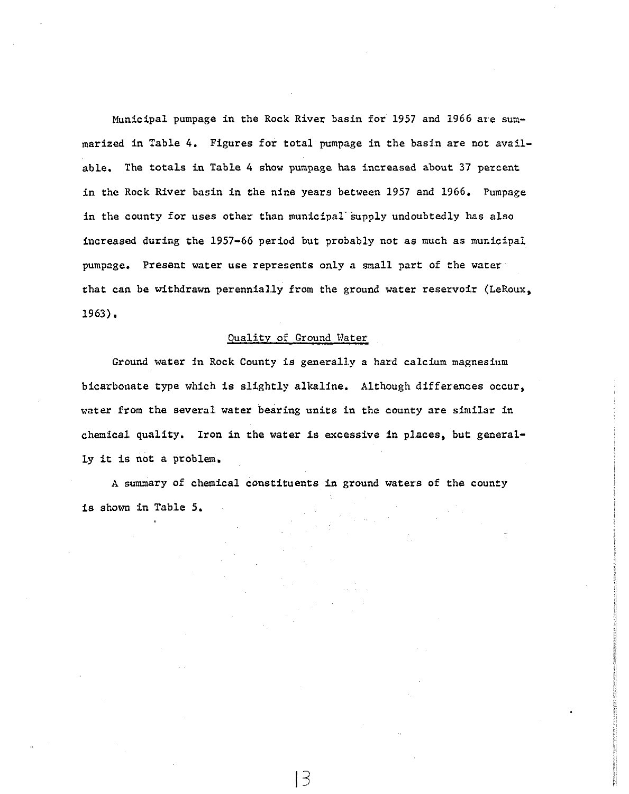Municipal pumpage in the Rock River basin for 1957 and 1966 are summarized in Table 4. Figures for total pumpage in the basin are not available. The totals in Table 4 show pumpage has increased about 37 percent in the Rock River basin in the nine years between 1957 and 1966. Pumpage in the county for uses other than municipal supply undoubtedly has also increased during the  $1957-66$  period but probably not as much as municipal pumpage. Present water use represents only a small part of the water that can be withdrawn perennially from the ground water reservoir (LeRoux, 1963).

### Quality of Ground Water

Ground water in Rock County is generally a hard calcium magnesium bicarbonate type which is slightly alkaline. Although differences occur, water from the several water bearing units in the county are similar in chemical quality. Iron in the water is excessive in places, but generally it is not a problem.

**A** summary of chemical constituents in ground waters of the county is shown in Table 5.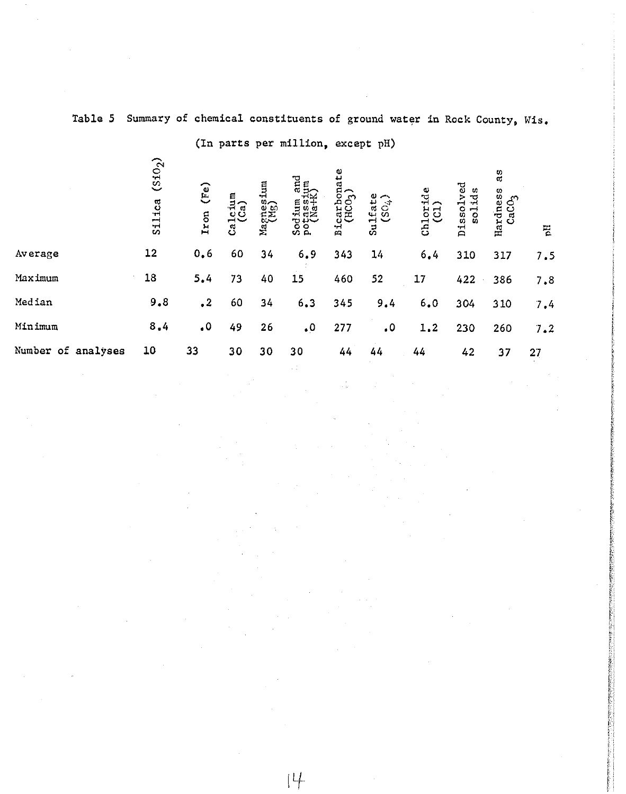|                    |                               |                      |                 |                   | (In parts per million, except pH)        |                                    |                            |                    |                              |                                     |     |  |
|--------------------|-------------------------------|----------------------|-----------------|-------------------|------------------------------------------|------------------------------------|----------------------------|--------------------|------------------------------|-------------------------------------|-----|--|
|                    | (510 <sub>2</sub> )<br>Silica | (Fe)<br>Iron         | Calcium<br>(Ca) | Magnesium<br>(Mg) | and<br>Sodium and<br>potassium<br>(Na+K) | Bicarbonate<br>(HCO <sub>3</sub> ) | $\sim$<br>Sulfat<br>$SO_4$ | $Chlortde$<br>(Cl) | ್ಳರ<br>n<br>Dissolv<br>solid | as<br>Hardness<br>CaCO <sub>3</sub> | Бq  |  |
| Average            | 12                            | 0,6                  | 60              | 34                | 6.9                                      | 343                                | 14                         | 6,4                | 310                          | 317                                 | 7.5 |  |
| Maximum            | 18                            | 5.4                  | 73              | 40                | 15                                       | 460                                | 52                         | 17                 | 422                          | 386                                 | 7.8 |  |
| Median             | 9,8                           | $\cdot^2$            | 60              | 34                | 6.3                                      | 345                                | 9.4                        | 6.0                | 304                          | 310                                 | 7.4 |  |
| Minimum            | 8,4                           | $\cdot$ <sup>0</sup> | 49              | 26                | $\cdot$ <sup>0</sup>                     | 277                                | $\cdot$                    | 1.2                | 230                          | 260                                 | 7.2 |  |
| Number of analyses | 10                            | 33                   | 30              | 30                | 30                                       | 44                                 | 44                         | 44                 | 42                           | 37                                  | 27  |  |
|                    |                               |                      |                 |                   |                                          |                                    |                            |                    |                              |                                     |     |  |

**Table 5 Summary of chemical constituents of ground water in Rock County, Wis.**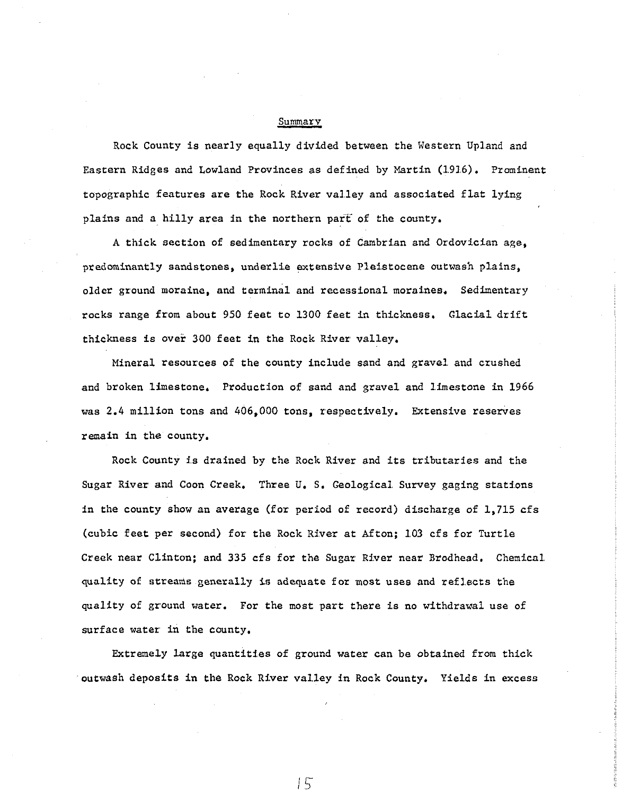#### Summar v

Rock County is nearly equally divided between the Western Upland and Eastern Ridges and Lowland Provinces as defined by Martin (1916). Prominent topographic features are the Rock River valley and associated flat lying plains and a hilly area in the northern part of the county.

A thick section of sedimentary rocks of Cambrian and Ordovician age, predominantly sandstones, underlie extensive Pleistocene outwash plains, older ground moraine, and terminal and recessional moraines. Sedimentary rocks range from about 950 feet to 1300 feet in thickness. Glacial drift thickness is over 300 feet in the Rock River valley.

Mineral resources of the county include sand and gravel and crushed and broken limestone. Production of sand and gravel and limestone in 1966 was  $2.4$  million tons and  $406,000$  tons, respectively. Extensive reserves remain in the county.

Rock County is drained by the Rock River and its tributaries and the Sugar River and Coon Creek. Three U. S. Geological Survey gaging stations in the county show an average (for period of record) discharge of 1,715 cfs (cubic feet per second) for the Rock River at Afton; 103 cfs for Turtle Creek near Clinton; and 335 cfs for the Sugar River near Brodhead, Chemical. quality of streams generally is adequate for most uses and refl.ects the quality of ground water. For the most part there is no withdrawal use of surface water in the county.

Extremely large quantities of ground water can be obtained from thick outwash deposits in the Rock River valley in Rock County. Yields in excess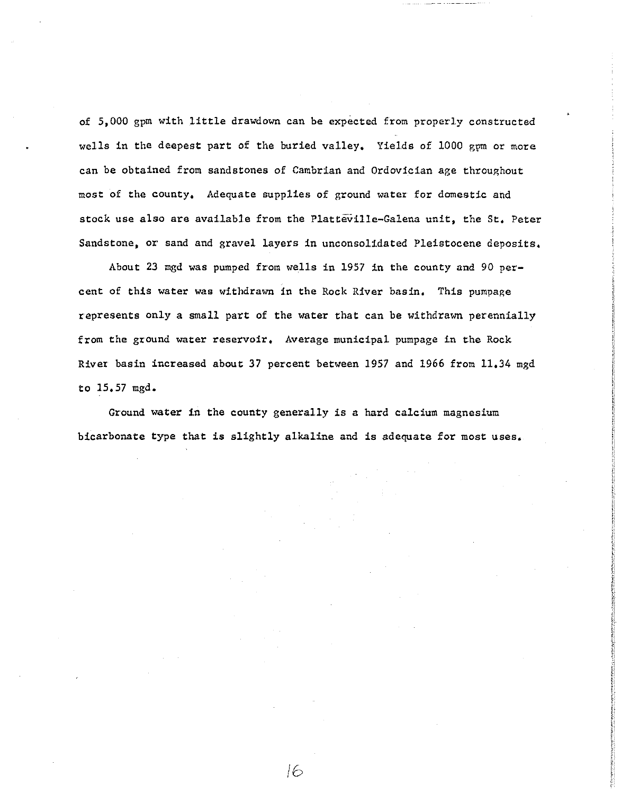of 5,000 gpm with little drawdown can be expected from properly constructed wells in the deepest part of the buried valley. Yields of 1000 gpm or more can be obtained from sandstones of Cambrian and Ordovician age throughout most of the county. Adequate supplies of ground water for domestic and stock use also are available from the Platteville-Galena unit, the St. Peter Sandstone, or sand and gravel layers in unconsolidated Pleistocene deposits.

About 23 mgd was pumped from wells in 1957 in the county and 90 percent of this water was withdrawn in the Rock River basin. This pumpage represents only a small part of the water that can be withdrawn perennially from the ground water reservoir. Average municipal pumpage in the Rock River basin increased about 37 percent between 1957 and 1966 from 11.34 mgd to  $15.57$  mgd.

Ground water in the county generally is a hard calcium magnesium bicarbonate type that is slightly alkaline and is adequate for most uses.